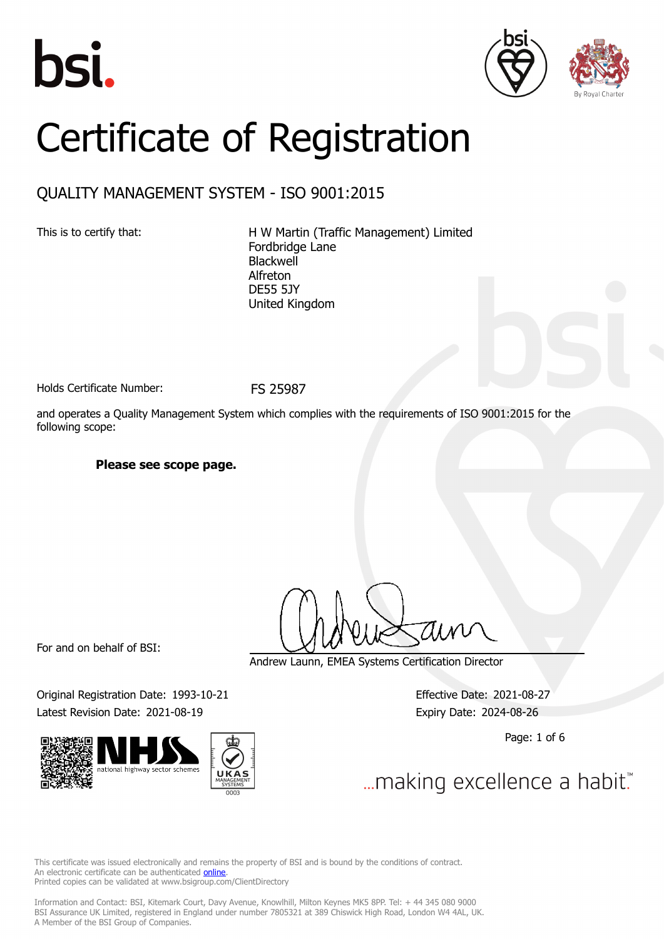





# Certificate of Registration

### QUALITY MANAGEMENT SYSTEM - ISO 9001:2015

This is to certify that: H W Martin (Traffic Management) Limited Fordbridge Lane Blackwell Alfreton DE55 5JY United Kingdom

Holds Certificate Number: FS 25987

and operates a Quality Management System which complies with the requirements of ISO 9001:2015 for the following scope:

#### **Please see scope page.**

For and on behalf of BSI:

Original Registration Date: 1993-10-21 Effective Date: 2021-08-27



Andrew Launn, EMEA Systems Certification Director

Latest Revision Date: 2021-08-19 Expiry Date: 2024-08-26

Page: 1 of 6

... making excellence a habit."

This certificate was issued electronically and remains the property of BSI and is bound by the conditions of contract. An electronic certificate can be authenticated **[online](https://pgplus.bsigroup.com/CertificateValidation/CertificateValidator.aspx?CertificateNumber=FS+25987&ReIssueDate=19%2f08%2f2021&Template=uk)**. Printed copies can be validated at www.bsigroup.com/ClientDirectory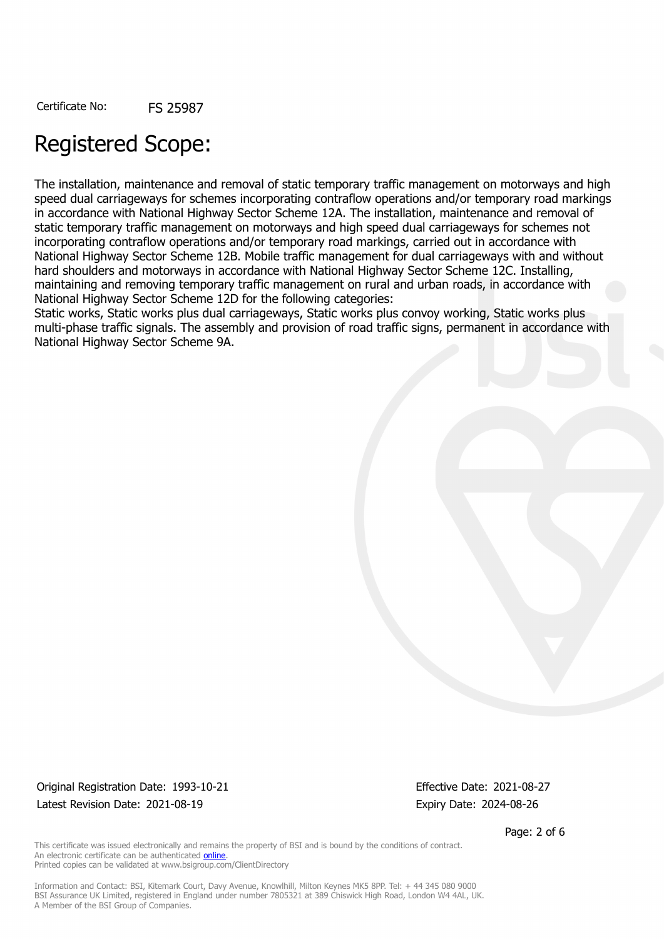## Registered Scope:

The installation, maintenance and removal of static temporary traffic management on motorways and high speed dual carriageways for schemes incorporating contraflow operations and/or temporary road markings in accordance with National Highway Sector Scheme 12A. The installation, maintenance and removal of static temporary traffic management on motorways and high speed dual carriageways for schemes not incorporating contraflow operations and/or temporary road markings, carried out in accordance with National Highway Sector Scheme 12B. Mobile traffic management for dual carriageways with and without hard shoulders and motorways in accordance with National Highway Sector Scheme 12C. Installing, maintaining and removing temporary traffic management on rural and urban roads, in accordance with National Highway Sector Scheme 12D for the following categories:

Static works, Static works plus dual carriageways, Static works plus convoy working, Static works plus multi-phase traffic signals. The assembly and provision of road traffic signs, permanent in accordance with National Highway Sector Scheme 9A.

Original Registration Date: 1993-10-21 Effective Date: 2021-08-27 Latest Revision Date: 2021-08-19 **Expiry Date: 2024-08-26** Expiry Date: 2024-08-26

Page: 2 of 6

This certificate was issued electronically and remains the property of BSI and is bound by the conditions of contract. An electronic certificate can be authenticated [online](https://pgplus.bsigroup.com/CertificateValidation/CertificateValidator.aspx?CertificateNumber=FS+25987&ReIssueDate=19%2f08%2f2021&Template=uk). Printed copies can be validated at www.bsigroup.com/ClientDirectory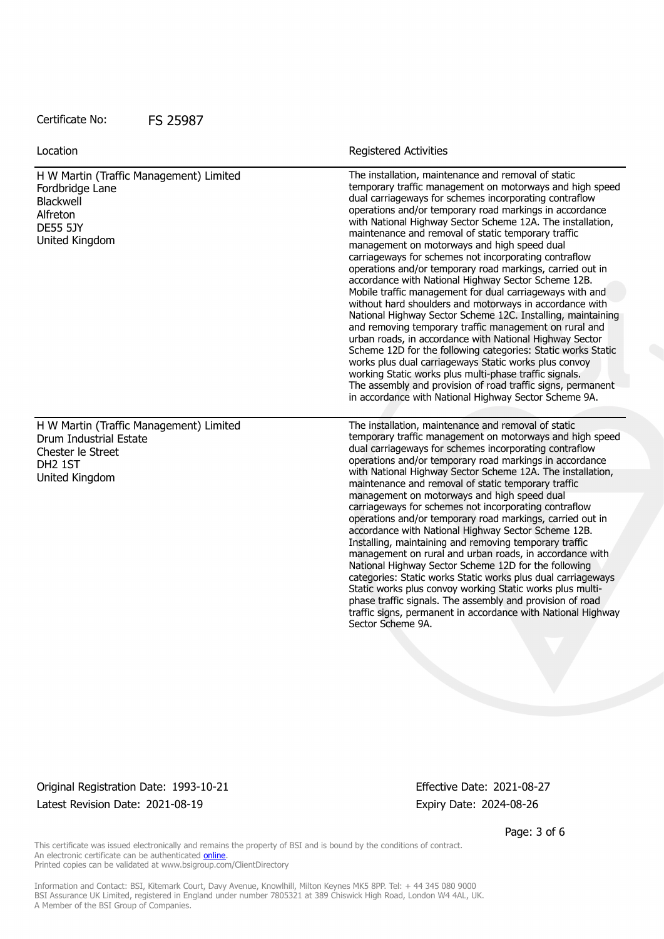| Location                                                                                                                        | <b>Registered Activities</b>                                                                                                                                                                                                                                                                                                                                                                                                                                                                                                                                                                                                                                                                                                                                                                                                                                                                                                                                                                                                                                                                                                                                                                                |
|---------------------------------------------------------------------------------------------------------------------------------|-------------------------------------------------------------------------------------------------------------------------------------------------------------------------------------------------------------------------------------------------------------------------------------------------------------------------------------------------------------------------------------------------------------------------------------------------------------------------------------------------------------------------------------------------------------------------------------------------------------------------------------------------------------------------------------------------------------------------------------------------------------------------------------------------------------------------------------------------------------------------------------------------------------------------------------------------------------------------------------------------------------------------------------------------------------------------------------------------------------------------------------------------------------------------------------------------------------|
| H W Martin (Traffic Management) Limited<br>Fordbridge Lane<br>Blackwell<br>Alfreton<br><b>DE55 5JY</b><br>United Kingdom        | The installation, maintenance and removal of static<br>temporary traffic management on motorways and high speed<br>dual carriageways for schemes incorporating contraflow<br>operations and/or temporary road markings in accordance<br>with National Highway Sector Scheme 12A. The installation,<br>maintenance and removal of static temporary traffic<br>management on motorways and high speed dual<br>carriageways for schemes not incorporating contraflow<br>operations and/or temporary road markings, carried out in<br>accordance with National Highway Sector Scheme 12B.<br>Mobile traffic management for dual carriageways with and<br>without hard shoulders and motorways in accordance with<br>National Highway Sector Scheme 12C. Installing, maintaining<br>and removing temporary traffic management on rural and<br>urban roads, in accordance with National Highway Sector<br>Scheme 12D for the following categories: Static works Static<br>works plus dual carriageways Static works plus convoy<br>working Static works plus multi-phase traffic signals.<br>The assembly and provision of road traffic signs, permanent<br>in accordance with National Highway Sector Scheme 9A. |
| H W Martin (Traffic Management) Limited<br>Drum Industrial Estate<br>Chester le Street<br>DH <sub>2</sub> 1ST<br>United Kingdom | The installation, maintenance and removal of static<br>temporary traffic management on motorways and high speed<br>dual carriageways for schemes incorporating contraflow<br>operations and/or temporary road markings in accordance<br>with National Highway Sector Scheme 12A. The installation,<br>maintenance and removal of static temporary traffic<br>management on motorways and high speed dual<br>carriageways for schemes not incorporating contraflow<br>operations and/or temporary road markings, carried out in<br>accordance with National Highway Sector Scheme 12B.<br>Installing, maintaining and removing temporary traffic<br>management on rural and urban roads, in accordance with<br>National Highway Sector Scheme 12D for the following<br>categories: Static works Static works plus dual carriageways<br>Static works plus convoy working Static works plus multi-<br>phase traffic signals. The assembly and provision of road<br>traffic signs, permanent in accordance with National Highway<br>Sector Scheme 9A.                                                                                                                                                           |

Original Registration Date: 1993-10-21 Effective Date: 2021-08-27 Latest Revision Date: 2021-08-19 Expiry Date: 2024-08-26

Page: 3 of 6

This certificate was issued electronically and remains the property of BSI and is bound by the conditions of contract. An electronic certificate can be authenticated **[online](https://pgplus.bsigroup.com/CertificateValidation/CertificateValidator.aspx?CertificateNumber=FS+25987&ReIssueDate=19%2f08%2f2021&Template=uk)**. Printed copies can be validated at www.bsigroup.com/ClientDirectory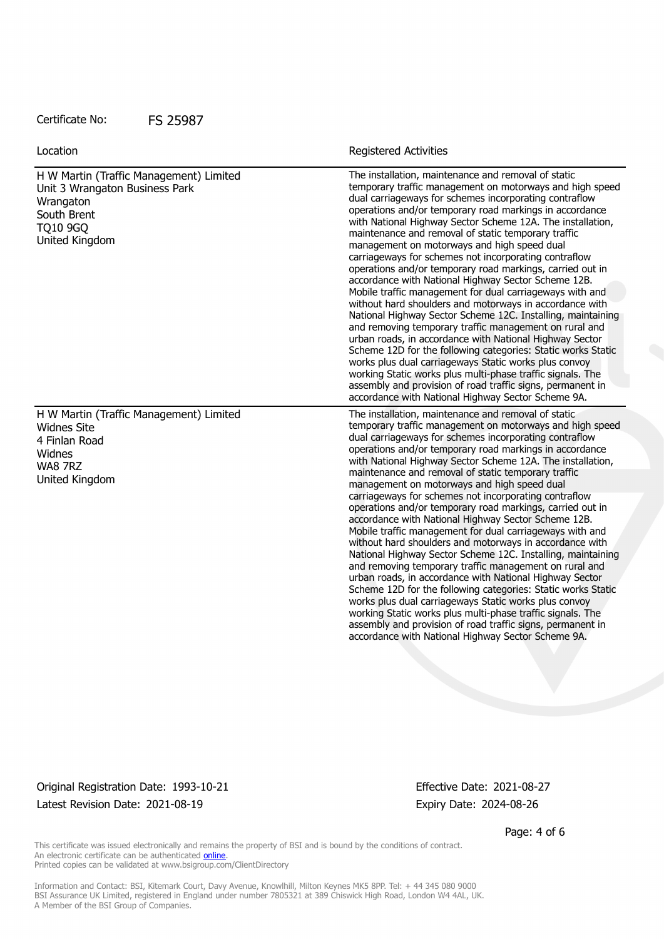H W Martin (Traffic Management) Limited Unit 3 Wrangaton Business Park **Wrangaton** South Brent TQ10 9GQ United Kingdom The installation, maintenance and removal of static temporary traffic management on motorways and high speed dual carriageways for schemes incorporating contraflow operations and/or temporary road markings in accordance with National Highway Sector Scheme 12A. The installation, maintenance and removal of static temporary traffic management on motorways and high speed dual carriageways for schemes not incorporating contraflow operations and/or temporary road markings, carried out in accordance with National Highway Sector Scheme 12B. Mobile traffic management for dual carriageways with and without hard shoulders and motorways in accordance with National Highway Sector Scheme 12C. Installing, maintaining and removing temporary traffic management on rural and urban roads, in accordance with National Highway Sector Scheme 12D for the following categories: Static works Static works plus dual carriageways Static works plus convoy working Static works plus multi-phase traffic signals. The assembly and provision of road traffic signs, permanent in accordance with National Highway Sector Scheme 9A. H W Martin (Traffic Management) Limited Widnes Site 4 Finlan Road Widnes WA8 7RZ United Kingdom The installation, maintenance and removal of static temporary traffic management on motorways and high speed dual carriageways for schemes incorporating contraflow operations and/or temporary road markings in accordance with National Highway Sector Scheme 12A. The installation, maintenance and removal of static temporary traffic management on motorways and high speed dual carriageways for schemes not incorporating contraflow operations and/or temporary road markings, carried out in accordance with National Highway Sector Scheme 12B. Mobile traffic management for dual carriageways with and without hard shoulders and motorways in accordance with National Highway Sector Scheme 12C. Installing, maintaining and removing temporary traffic management on rural and urban roads, in accordance with National Highway Sector Scheme 12D for the following categories: Static works Static works plus dual carriageways Static works plus convoy working Static works plus multi-phase traffic signals. The assembly and provision of road traffic signs, permanent in accordance with National Highway Sector Scheme 9A. Location **Exercise 2018 Location Registered Activities** 

Original Registration Date: 1993-10-21 Effective Date: 2021-08-27 Latest Revision Date: 2021-08-19 **Expiry Date: 2024-08-26** Expiry Date: 2024-08-26

Page: 4 of 6

This certificate was issued electronically and remains the property of BSI and is bound by the conditions of contract. An electronic certificate can be authenticated [online](https://pgplus.bsigroup.com/CertificateValidation/CertificateValidator.aspx?CertificateNumber=FS+25987&ReIssueDate=19%2f08%2f2021&Template=uk). Printed copies can be validated at www.bsigroup.com/ClientDirectory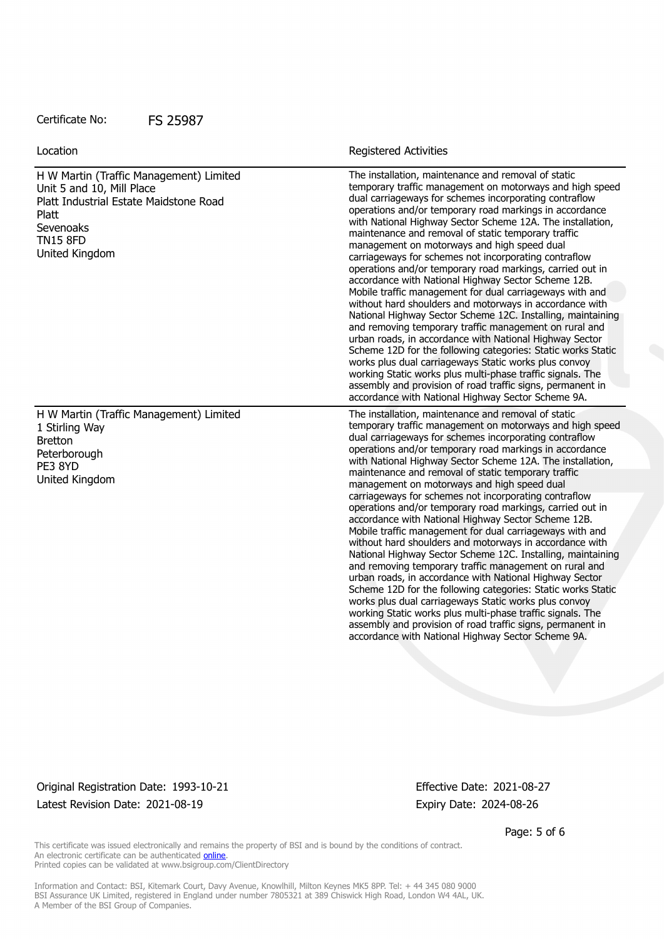H W Martin (Traffic Management) Limited Unit 5 and 10, Mill Place Platt Industrial Estate Maidstone Road Platt Sevenoaks TN15 8FD United Kingdom

Location **Exercise 2018 Location Registered Activities** 

The installation, maintenance and removal of static temporary traffic management on motorways and high speed dual carriageways for schemes incorporating contraflow operations and/or temporary road markings in accordance with National Highway Sector Scheme 12A. The installation, maintenance and removal of static temporary traffic management on motorways and high speed dual carriageways for schemes not incorporating contraflow operations and/or temporary road markings, carried out in accordance with National Highway Sector Scheme 12B. Mobile traffic management for dual carriageways with and without hard shoulders and motorways in accordance with National Highway Sector Scheme 12C. Installing, maintaining and removing temporary traffic management on rural and urban roads, in accordance with National Highway Sector Scheme 12D for the following categories: Static works Static works plus dual carriageways Static works plus convoy working Static works plus multi-phase traffic signals. The assembly and provision of road traffic signs, permanent in accordance with National Highway Sector Scheme 9A. The installation, maintenance and removal of static temporary traffic management on motorways and high speed dual carriageways for schemes incorporating contraflow operations and/or temporary road markings in accordance with National Highway Sector Scheme 12A. The installation, maintenance and removal of static temporary traffic management on motorways and high speed dual carriageways for schemes not incorporating contraflow operations and/or temporary road markings, carried out in accordance with National Highway Sector Scheme 12B. Mobile traffic management for dual carriageways with and without hard shoulders and motorways in accordance with National Highway Sector Scheme 12C. Installing, maintaining and removing temporary traffic management on rural and urban roads, in accordance with National Highway Sector Scheme 12D for the following categories: Static works Static works plus dual carriageways Static works plus convoy

H W Martin (Traffic Management) Limited 1 Stirling Way Bretton **Peterborough** PE3 8YD United Kingdom

Original Registration Date: 1993-10-21 Effective Date: 2021-08-27 Latest Revision Date: 2021-08-19 **Expiry Date: 2024-08-26** Expiry Date: 2024-08-26

working Static works plus multi-phase traffic signals. The assembly and provision of road traffic signs, permanent in accordance with National Highway Sector Scheme 9A.

Page: 5 of 6

This certificate was issued electronically and remains the property of BSI and is bound by the conditions of contract. An electronic certificate can be authenticated [online](https://pgplus.bsigroup.com/CertificateValidation/CertificateValidator.aspx?CertificateNumber=FS+25987&ReIssueDate=19%2f08%2f2021&Template=uk). Printed copies can be validated at www.bsigroup.com/ClientDirectory